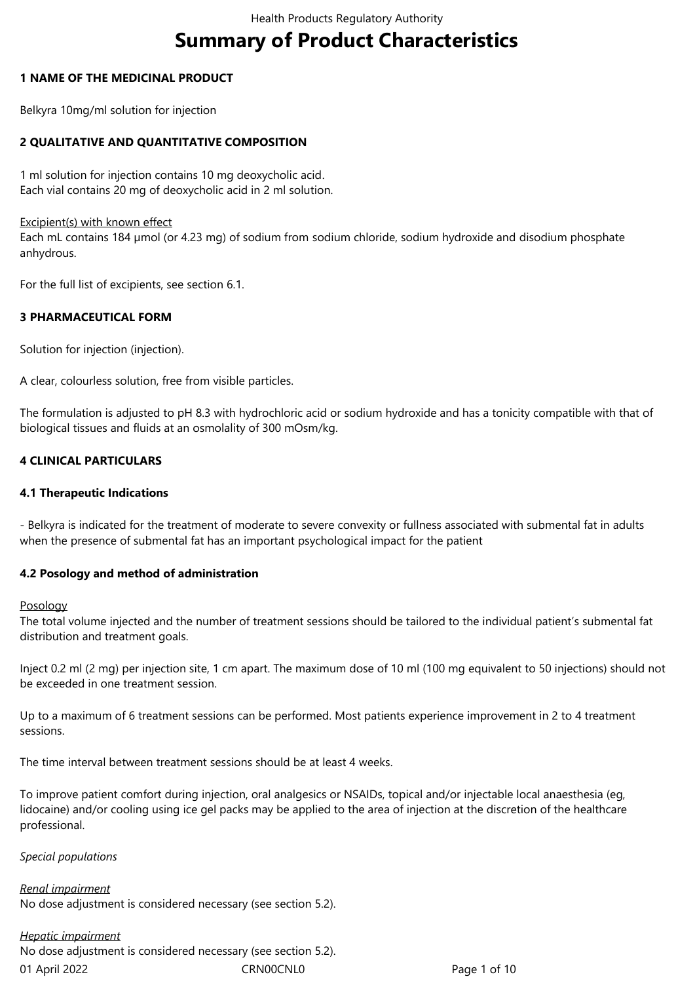# **Summary of Product Characteristics**

#### **1 NAME OF THE MEDICINAL PRODUCT**

Belkyra 10mg/ml solution for injection

## **2 QUALITATIVE AND QUANTITATIVE COMPOSITION**

1 ml solution for injection contains 10 mg deoxycholic acid. Each vial contains 20 mg of deoxycholic acid in 2 ml solution.

#### Excipient(s) with known effect

Each mL contains 184 µmol (or 4.23 mg) of sodium from sodium chloride, sodium hydroxide and disodium phosphate anhydrous.

For the full list of excipients, see section 6.1.

## **3 PHARMACEUTICAL FORM**

Solution for injection (injection).

A clear, colourless solution, free from visible particles.

The formulation is adjusted to pH 8.3 with hydrochloric acid or sodium hydroxide and has a tonicity compatible with that of biological tissues and fluids at an osmolality of 300 mOsm/kg.

#### **4 CLINICAL PARTICULARS**

#### **4.1 Therapeutic Indications**

- Belkyra is indicated for the treatment of moderate to severe convexity or fullness associated with submental fat in adults when the presence of submental fat has an important psychological impact for the patient

## **4.2 Posology and method of administration**

#### Posology

The total volume injected and the number of treatment sessions should be tailored to the individual patient's submental fat distribution and treatment goals.

Inject 0.2 ml (2 mg) per injection site, 1 cm apart. The maximum dose of 10 ml (100 mg equivalent to 50 injections) should not be exceeded in one treatment session.

Up to a maximum of 6 treatment sessions can be performed. Most patients experience improvement in 2 to 4 treatment sessions.

The time interval between treatment sessions should be at least 4 weeks.

To improve patient comfort during injection, oral analgesics or NSAIDs, topical and/or injectable local anaesthesia (eg, lidocaine) and/or cooling using ice gel packs may be applied to the area of injection at the discretion of the healthcare professional.

#### *Special populations*

*Renal impairment* No dose adjustment is considered necessary (see section 5.2).

## *Hepatic impairment*

01 April 2022 CRN00CNL0 CRNOOCNL0 Page 1 of 10 No dose adjustment is considered necessary (see section 5.2).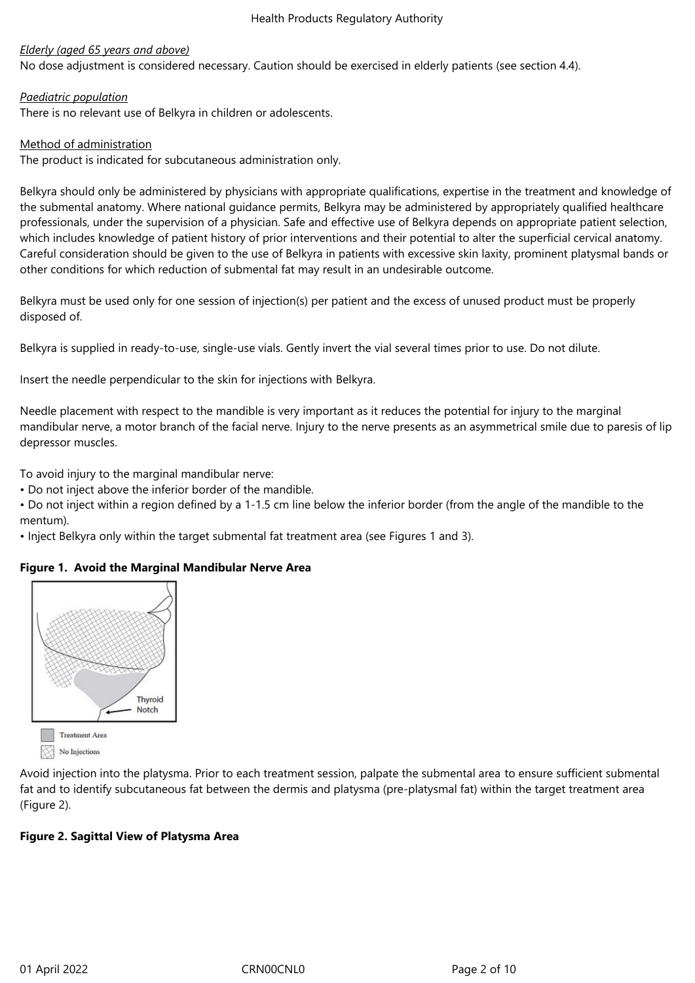#### *Elderly (aged 65 years and above)*

No dose adjustment is considered necessary. Caution should be exercised in elderly patients (see section 4.4).

#### *Paediatric population*

There is no relevant use of Belkyra in children or adolescents.

#### Method of administration

The product is indicated for subcutaneous administration only.

Belkyra should only be administered by physicians with appropriate qualifications, expertise in the treatment and knowledge of the submental anatomy. Where national guidance permits, Belkyra may be administered by appropriately qualified healthcare professionals, under the supervision of a physician. Safe and effective use of Belkyra depends on appropriate patient selection, which includes knowledge of patient history of prior interventions and their potential to alter the superficial cervical anatomy. Careful consideration should be given to the use of Belkyra in patients with excessive skin laxity, prominent platysmal bands or other conditions for which reduction of submental fat may result in an undesirable outcome.

Belkyra must be used only for one session of injection(s) per patient and the excess of unused product must be properly disposed of.

Belkyra is supplied in ready-to-use, single-use vials. Gently invert the vial several times prior to use. Do not dilute.

Insert the needle perpendicular to the skin for injections with Belkyra.

Needle placement with respect to the mandible is very important as it reduces the potential for injury to the marginal mandibular nerve, a motor branch of the facial nerve. Injury to the nerve presents as an asymmetrical smile due to paresis of lip depressor muscles.

To avoid injury to the marginal mandibular nerve:

• Do not inject above the inferior border of the mandible.

• Do not inject within a region defined by a 1-1.5 cm line below the inferior border (from the angle of the mandible to the mentum).

• Inject Belkyra only within the target submental fat treatment area (see Figures 1 and 3).

## **Figure 1. Avoid the Marginal Mandibular Nerve Area**



Avoid injection into the platysma. Prior to each treatment session, palpate the submental area to ensure sufficient submental fat and to identify subcutaneous fat between the dermis and platysma (pre-platysmal fat) within the target treatment area (Figure 2).

## **Figure 2. Sagittal View of Platysma Area**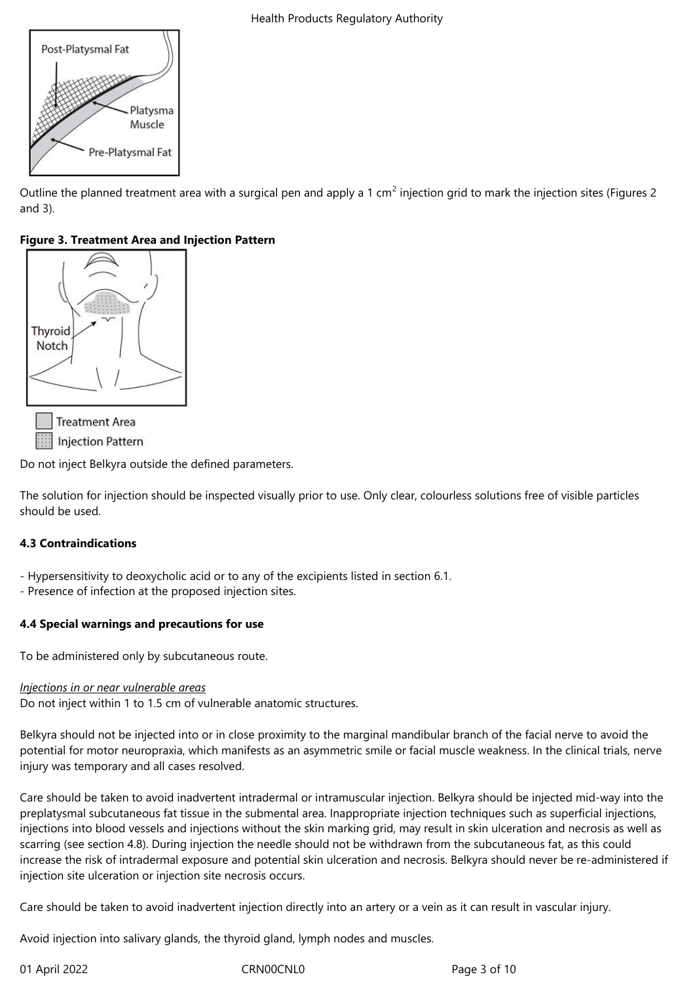Outline the planned treatment area with a surgical pen and apply a 1 cm<sup>2</sup> injection grid to mark the injection sites (Figures 2 and 3).

# **Figure 3. Treatment Area and Injection Pattern**



Do not inject Belkyra outside the defined parameters.

The solution for injection should be inspected visually prior to use. Only clear, colourless solutions free of visible particles should be used.

## **4.3 Contraindications**

- Hypersensitivity to deoxycholic acid or to any of the excipients listed in section 6.1.
- Presence of infection at the proposed injection sites.

# **4.4 Special warnings and precautions for use**

To be administered only by subcutaneous route.

## *Injections in or near vulnerable areas*

Do not inject within 1 to 1.5 cm of vulnerable anatomic structures.

Belkyra should not be injected into or in close proximity to the marginal mandibular branch of the facial nerve to avoid the potential for motor neuropraxia, which manifests as an asymmetric smile or facial muscle weakness. In the clinical trials, nerve injury was temporary and all cases resolved.

Care should be taken to avoid inadvertent intradermal or intramuscular injection. Belkyra should be injected mid-way into the preplatysmal subcutaneous fat tissue in the submental area. Inappropriate injection techniques such as superficial injections, injections into blood vessels and injections without the skin marking grid, may result in skin ulceration and necrosis as well as scarring (see section 4.8). During injection the needle should not be withdrawn from the subcutaneous fat, as this could increase the risk of intradermal exposure and potential skin ulceration and necrosis. Belkyra should never be re-administered if injection site ulceration or injection site necrosis occurs.

Care should be taken to avoid inadvertent injection directly into an artery or a vein as it can result in vascular injury.

Avoid injection into salivary glands, the thyroid gland, lymph nodes and muscles.

01 April 2022 CRN00CNL0 CRNOOCNL0 Page 3 of 10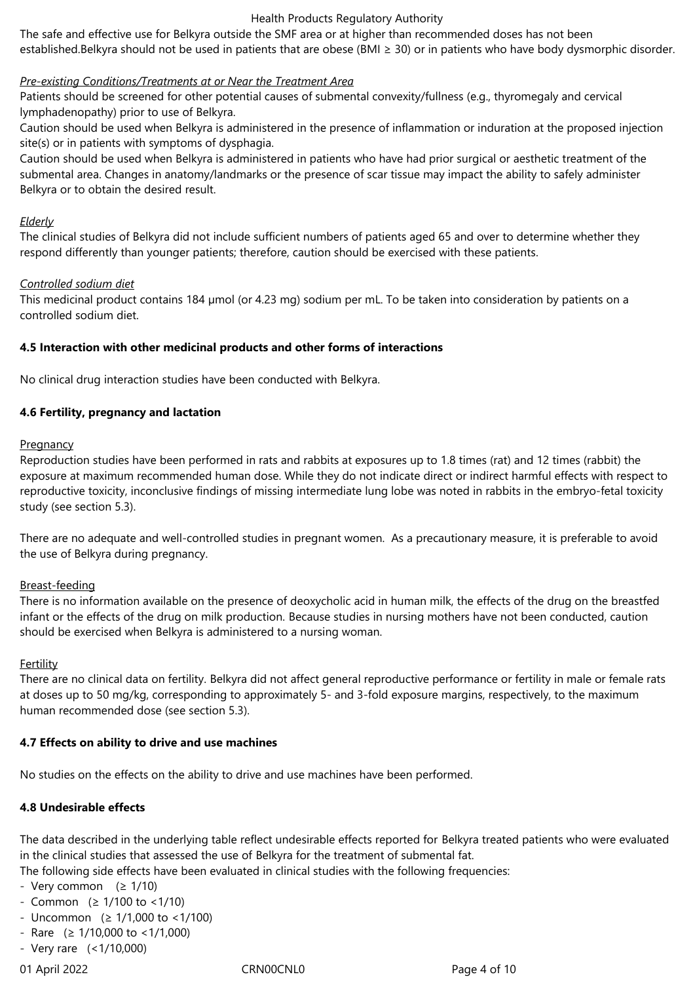#### Health Products Regulatory Authority

The safe and effective use for Belkyra outside the SMF area or at higher than recommended doses has not been established.Belkyra should not be used in patients that are obese (BMI ≥ 30) or in patients who have body dysmorphic disorder.

#### *Pre-existing Conditions/Treatments at or Near the Treatment Area*

Patients should be screened for other potential causes of submental convexity/fullness (e.g., thyromegaly and cervical lymphadenopathy) prior to use of Belkyra.

Caution should be used when Belkyra is administered in the presence of inflammation or induration at the proposed injection site(s) or in patients with symptoms of dysphagia.

Caution should be used when Belkyra is administered in patients who have had prior surgical or aesthetic treatment of the submental area. Changes in anatomy/landmarks or the presence of scar tissue may impact the ability to safely administer Belkyra or to obtain the desired result.

#### *Elderly*

The clinical studies of Belkyra did not include sufficient numbers of patients aged 65 and over to determine whether they respond differently than younger patients; therefore, caution should be exercised with these patients.

#### *Controlled sodium diet*

This medicinal product contains 184 µmol (or 4.23 mg) sodium per mL. To be taken into consideration by patients on a controlled sodium diet.

#### **4.5 Interaction with other medicinal products and other forms of interactions**

No clinical drug interaction studies have been conducted with Belkyra.

#### **4.6 Fertility, pregnancy and lactation**

#### **Pregnancy**

Reproduction studies have been performed in rats and rabbits at exposures up to 1.8 times (rat) and 12 times (rabbit) the exposure at maximum recommended human dose. While they do not indicate direct or indirect harmful effects with respect to reproductive toxicity, inconclusive findings of missing intermediate lung lobe was noted in rabbits in the embryo-fetal toxicity study (see section 5.3).

There are no adequate and well-controlled studies in pregnant women. As a precautionary measure, it is preferable to avoid the use of Belkyra during pregnancy.

#### Breast-feeding

There is no information available on the presence of deoxycholic acid in human milk, the effects of the drug on the breastfed infant or the effects of the drug on milk production. Because studies in nursing mothers have not been conducted, caution should be exercised when Belkyra is administered to a nursing woman.

#### **Fertility**

There are no clinical data on fertility. Belkyra did not affect general reproductive performance or fertility in male or female rats at doses up to 50 mg/kg, corresponding to approximately 5- and 3-fold exposure margins, respectively, to the maximum human recommended dose (see section 5.3).

#### **4.7 Effects on ability to drive and use machines**

No studies on the effects on the ability to drive and use machines have been performed.

## **4.8 Undesirable effects**

The data described in the underlying table reflect undesirable effects reported for Belkyra treated patients who were evaluated in the clinical studies that assessed the use of Belkyra for the treatment of submental fat.

The following side effects have been evaluated in clinical studies with the following frequencies:

- Very common  $(≥ 1/10)$
- $-$  Common (≥ 1/100 to <1/10)
- Uncommon  $(≥ 1/1,000$  to <1/100)
- Rare  $(≥ 1/10,000$  to <1/1,000)
- Very rare (<1/10,000)

01 April 2022 CRN00CNL0 CRNOOCNL0 Page 4 of 10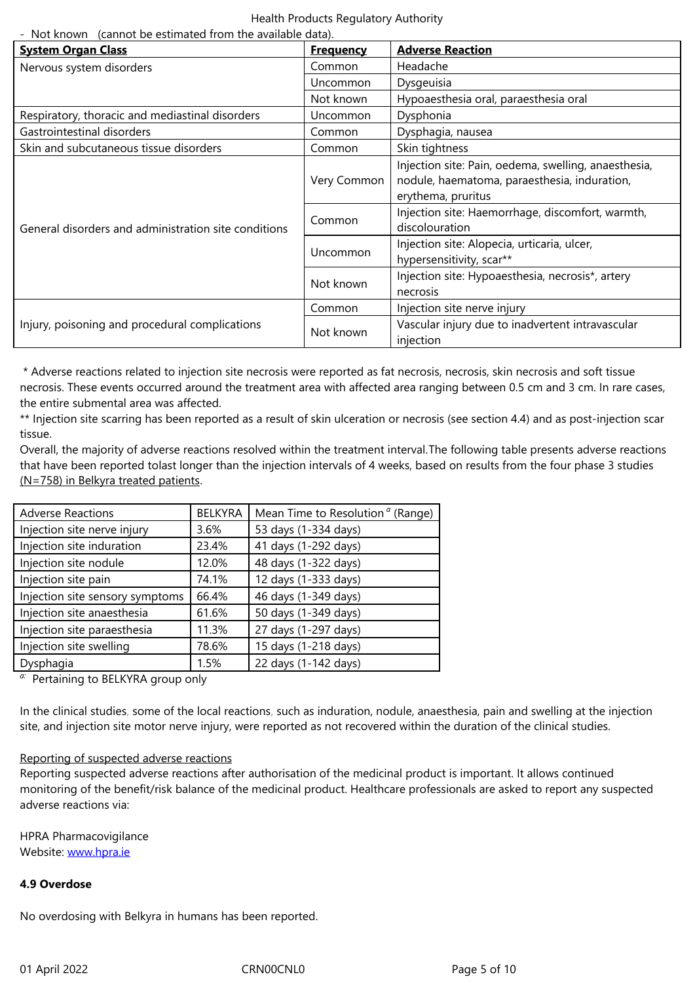| Nervous system disorders                             | Common          | Headache                                                                                                                   |  |  |
|------------------------------------------------------|-----------------|----------------------------------------------------------------------------------------------------------------------------|--|--|
|                                                      | <b>Uncommon</b> | Dysgeuisia                                                                                                                 |  |  |
|                                                      | Not known       | Hypoaesthesia oral, paraesthesia oral                                                                                      |  |  |
| Respiratory, thoracic and mediastinal disorders      | <b>Uncommon</b> | Dysphonia                                                                                                                  |  |  |
| Gastrointestinal disorders                           | Common          | Dysphagia, nausea                                                                                                          |  |  |
| Skin and subcutaneous tissue disorders               | Common          | Skin tightness                                                                                                             |  |  |
| General disorders and administration site conditions | Very Common     | Injection site: Pain, oedema, swelling, anaesthesia,<br>nodule, haematoma, paraesthesia, induration,<br>erythema, pruritus |  |  |
|                                                      | Common          | Injection site: Haemorrhage, discomfort, warmth,<br>discolouration                                                         |  |  |
|                                                      | Uncommon        | Injection site: Alopecia, urticaria, ulcer,<br>hypersensitivity, scar**                                                    |  |  |
|                                                      | Not known       | Injection site: Hypoaesthesia, necrosis*, artery<br>necrosis                                                               |  |  |
| Injury, poisoning and procedural complications       | Common          | Injection site nerve injury                                                                                                |  |  |
|                                                      | Not known       | Vascular injury due to inadvertent intravascular<br>injection                                                              |  |  |

 \* Adverse reactions related to injection site necrosis were reported as fat necrosis, necrosis, skin necrosis and soft tissue necrosis. These events occurred around the treatment area with affected area ranging between 0.5 cm and 3 cm. In rare cases, the entire submental area was affected.

\*\* Injection site scarring has been reported as a result of skin ulceration or necrosis (see section 4.4) and as post-injection scar tissue.

Overall, the majority of adverse reactions resolved within the treatment interval.The following table presents adverse reactions that have been reported tolast longer than the injection intervals of 4 weeks, based on results from the four phase 3 studies (N=758) in Belkyra treated patients.

| <b>Adverse Reactions</b>        | <b>BELKYRA</b> | Mean Time to Resolution <sup><math>a</math></sup> (Range) |  |
|---------------------------------|----------------|-----------------------------------------------------------|--|
| Injection site nerve injury     | 3.6%           | 53 days (1-334 days)                                      |  |
| Injection site induration       | 23.4%          | 41 days (1-292 days)                                      |  |
| Injection site nodule           | 12.0%          | 48 days (1-322 days)                                      |  |
| Injection site pain             | 74.1%          | 12 days (1-333 days)                                      |  |
| Injection site sensory symptoms | 66.4%          | 46 days (1-349 days)                                      |  |
| Injection site anaesthesia      | 61.6%          | 50 days (1-349 days)                                      |  |
| Injection site paraesthesia     | 11.3%          | 27 days (1-297 days)                                      |  |
| Injection site swelling         | 78.6%          | 15 days (1-218 days)                                      |  |
| Dysphagia                       | 1.5%           | 22 days (1-142 days)                                      |  |

*a:* Pertaining to BELKYRA group only

In the clinical studies, some of the local reactions, such as induration, nodule, anaesthesia, pain and swelling at the injection site, and injection site motor nerve injury, were reported as not recovered within the duration of the clinical studies.

#### Reporting of suspected adverse reactions

Reporting suspected adverse reactions after authorisation of the medicinal product is important. It allows continued monitoring of the benefit/risk balance of the medicinal product. Healthcare professionals are asked to report any suspected adverse reactions via:

HPRA Pharmacovigilance Website: www.hpra.ie

## **4.9 Overdose**

No over[dosing with B](http://www.hpra.ie/)elkyra in humans has been reported.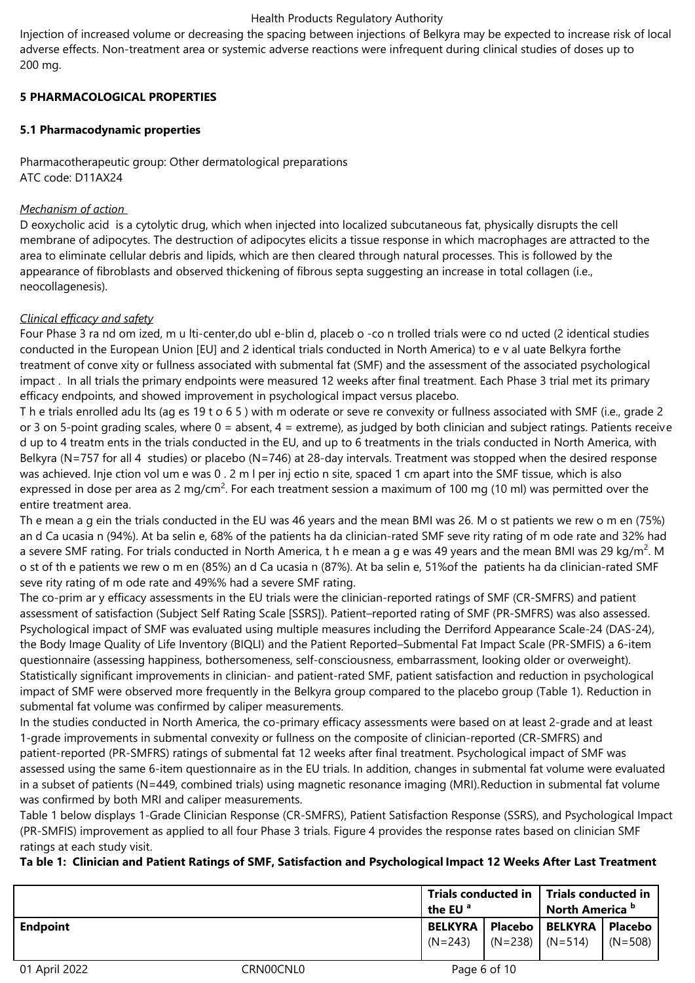#### Health Products Regulatory Authority

Injection of increased volume or decreasing the spacing between injections of Belkyra may be expected to increase risk of local adverse effects. Non-treatment area or systemic adverse reactions were infrequent during clinical studies of doses up to 200 mg.

## **5 PHARMACOLOGICAL PROPERTIES**

# **5.1 Pharmacodynamic properties**

Pharmacotherapeutic group: Other dermatological preparations ATC code: D11AX24

# *Mechanism of action*

D eoxycholic acid is a cytolytic drug, which when injected into localized subcutaneous fat, physically disrupts the cell membrane of adipocytes. The destruction of adipocytes elicits a tissue response in which macrophages are attracted to the area to eliminate cellular debris and lipids, which are then cleared through natural processes. This is followed by the appearance of fibroblasts and observed thickening of fibrous septa suggesting an increase in total collagen (i.e., neocollagenesis).

# *Clinical efficacy and safety*

Four Phase 3 ra nd om ized, m u lti-center,do ubl e-blin d, placeb o -co n trolled trials were co nd ucted (2 identical studies conducted in the European Union [EU] and 2 identical trials conducted in North America) to e v al uate Belkyra forthe treatment of conve xity or fullness associated with submental fat (SMF) and the assessment of the associated psychological impact . In all trials the primary endpoints were measured 12 weeks after final treatment. Each Phase 3 trial met its primary efficacy endpoints, and showed improvement in psychological impact versus placebo.

T h e trials enrolled adu lts (ag es 19 t o 6 5 ) with m oderate or seve re convexity or fullness associated with SMF (i.e., grade 2 or 3 on 5-point grading scales, where  $0 =$  absent,  $4 =$  extreme), as judged by both clinician and subject ratings. Patients receive d up to 4 treatm ents in the trials conducted in the EU, and up to 6 treatments in the trials conducted in North America, with Belkyra (N=757 for all 4 studies) or placebo (N=746) at 28-day intervals. Treatment was stopped when the desired response was achieved. Inje ction vol um e was 0 . 2 m l per inj ectio n site, spaced 1 cm apart into the SMF tissue, which is also expressed in dose per area as 2 mg/cm<sup>2</sup>. For each treatment session a maximum of 100 mg (10 ml) was permitted over the entire treatment area.

Th e mean a g ein the trials conducted in the EU was 46 years and the mean BMI was 26. M o st patients we rew o m en (75%) an d Ca ucasia n (94%). At ba selin e, 68% of the patients ha da clinician-rated SMF seve rity rating of m ode rate and 32% had a severe SMF rating. For trials conducted in North America, t h e mean a g e was 49 years and the mean BMI was 29 kg/m<sup>2</sup>. M o st of th e patients we rew o m en (85%) an d Ca ucasia n (87%). At ba selin e, 51%of the patients ha da clinician-rated SMF seve rity rating of m ode rate and 49%% had a severe SMF rating.

The co-prim ar y efficacy assessments in the EU trials were the clinician-reported ratings of SMF (CR-SMFRS) and patient assessment of satisfaction (Subject Self Rating Scale [SSRS]). Patient–reported rating of SMF (PR-SMFRS) was also assessed. Psychological impact of SMF was evaluated using multiple measures including the Derriford Appearance Scale-24 (DAS-24), the Body Image Quality of Life Inventory (BIQLI) and the Patient Reported–Submental Fat Impact Scale (PR-SMFIS) a 6-item questionnaire (assessing happiness, bothersomeness, self-consciousness, embarrassment, looking older or overweight). Statistically significant improvements in clinician- and patient-rated SMF, patient satisfaction and reduction in psychological impact of SMF were observed more frequently in the Belkyra group compared to the placebo group (Table 1). Reduction in submental fat volume was confirmed by caliper measurements.

In the studies conducted in North America, the co-primary efficacy assessments were based on at least 2-grade and at least 1-grade improvements in submental convexity or fullness on the composite of clinician-reported (CR-SMFRS) and patient-reported (PR-SMFRS) ratings of submental fat 12 weeks after final treatment. Psychological impact of SMF was assessed using the same 6-item questionnaire as in the EU trials. In addition, changes in submental fat volume were evaluated in a subset of patients (N=449, combined trials) using magnetic resonance imaging (MRI).Reduction in submental fat volume was confirmed by both MRI and caliper measurements.

Table 1 below displays 1-Grade Clinician Response (CR-SMFRS), Patient Satisfaction Response (SSRS), and Psychological Impact (PR-SMFIS) improvement as applied to all four Phase 3 trials. Figure 4 provides the response rates based on clinician SMF ratings at each study visit.

**Ta ble 1: Clinician and Patient Ratings of SMF, Satisfaction and Psychological Impact 12 Weeks After Last Treatment**

|                 |           | $^{\circ}$ the EU $^{\circ}$ | Trials conducted in   Trials conducted in |                                       | North America <sup>b</sup> |  |
|-----------------|-----------|------------------------------|-------------------------------------------|---------------------------------------|----------------------------|--|
| <b>Endpoint</b> |           |                              |                                           | BELKYRA   Placebo   BELKYRA   Placebo |                            |  |
|                 |           | $(N=243)$                    | $\vert$ (N=238) $\vert$ (N=514)           |                                       | $\sqrt{(N=508)}$           |  |
|                 |           |                              |                                           |                                       |                            |  |
| 01 April 2022   | CRN00CNL0 |                              | Page 6 of 10                              |                                       |                            |  |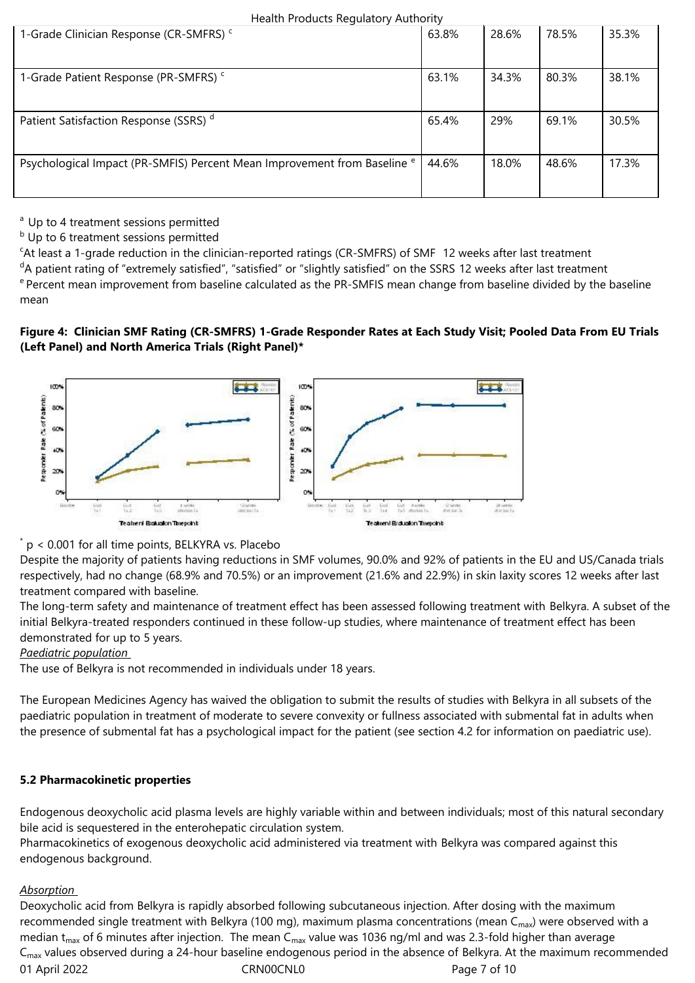| Health Products Regulatory Authority |
|--------------------------------------|
|--------------------------------------|

| 1-Grade Clinician Response (CR-SMFRS) <sup>c</sup>                                  | 63.8% | 28.6% | 78.5% | 35.3% |
|-------------------------------------------------------------------------------------|-------|-------|-------|-------|
| 1-Grade Patient Response (PR-SMFRS) <sup>c</sup>                                    | 63.1% | 34.3% | 80.3% | 38.1% |
| Patient Satisfaction Response (SSRS) <sup>d</sup>                                   | 65.4% | 29%   | 69.1% | 30.5% |
| Psychological Impact (PR-SMFIS) Percent Mean Improvement from Baseline <sup>e</sup> | 44.6% | 18.0% | 48.6% | 17.3% |

 $a$  Up to 4 treatment sessions permitted

<sup>b</sup> Up to 6 treatment sessions permitted

<sup>c</sup>At least a 1-grade reduction in the clinician-reported ratings (CR-SMFRS) of SMF 12 weeks after last treatment

<sup>d</sup>A patient rating of "extremely satisfied", "satisfied" or "slightly satisfied" on the SSRS 12 weeks after last treatment <sup>e</sup> Percent mean improvement from baseline calculated as the PR-SMFIS mean change from baseline divided by the baseline mean

# **Figure 4: Clinician SMF Rating (CR-SMFRS) 1-Grade Responder Rates at Each Study Visit; Pooled Data From EU Trials (Left Panel) and North America Trials (Right Panel)\***



\* p < 0.001 for all time points, BELKYRA vs. Placebo

Despite the majority of patients having reductions in SMF volumes, 90.0% and 92% of patients in the EU and US/Canada trials respectively, had no change (68.9% and 70.5%) or an improvement (21.6% and 22.9%) in skin laxity scores 12 weeks after last treatment compared with baseline.

The long-term safety and maintenance of treatment effect has been assessed following treatment with Belkyra. A subset of the initial Belkyra-treated responders continued in these follow-up studies, where maintenance of treatment effect has been demonstrated for up to 5 years.

*Paediatric population* 

The use of Belkyra is not recommended in individuals under 18 years.

The European Medicines Agency has waived the obligation to submit the results of studies with Belkyra in all subsets of the paediatric population in treatment of moderate to severe convexity or fullness associated with submental fat in adults when the presence of submental fat has a psychological impact for the patient (see section 4.2 for information on paediatric use).

## **5.2 Pharmacokinetic properties**

Endogenous deoxycholic acid plasma levels are highly variable within and between individuals; most of this natural secondary bile acid is sequestered in the enterohepatic circulation system.

Pharmacokinetics of exogenous deoxycholic acid administered via treatment with Belkyra was compared against this endogenous background.

## *Absorption*

01 April 2022 CRN00CNL0 CRNOOCNL0 Page 7 of 10 Deoxycholic acid from Belkyra is rapidly absorbed following subcutaneous injection. After dosing with the maximum recommended single treatment with Belkyra (100 mg), maximum plasma concentrations (mean C<sub>max</sub>) were observed with a median  $t_{max}$  of 6 minutes after injection. The mean C<sub>max</sub> value was 1036 ng/ml and was 2.3-fold higher than average C<sub>max</sub> values observed during a 24-hour baseline endogenous period in the absence of Belkyra. At the maximum recommended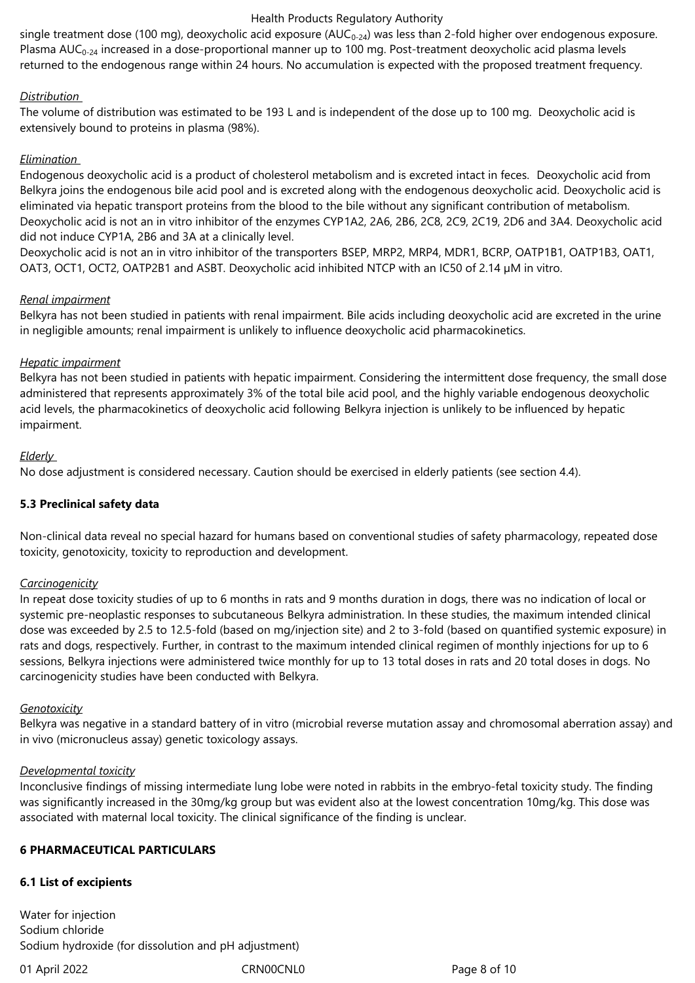#### Health Products Regulatory Authority

single treatment dose (100 mg), deoxycholic acid exposure ( $AUC_{0-24}$ ) was less than 2-fold higher over endogenous exposure. Plasma  $AUC_{0.24}$  increased in a dose-proportional manner up to 100 mg. Post-treatment deoxycholic acid plasma levels returned to the endogenous range within 24 hours. No accumulation is expected with the proposed treatment frequency.

#### *Distribution*

The volume of distribution was estimated to be 193 L and is independent of the dose up to 100 mg. Deoxycholic acid is extensively bound to proteins in plasma (98%).

#### *Elimination*

Endogenous deoxycholic acid is a product of cholesterol metabolism and is excreted intact in feces. Deoxycholic acid from Belkyra joins the endogenous bile acid pool and is excreted along with the endogenous deoxycholic acid. Deoxycholic acid is eliminated via hepatic transport proteins from the blood to the bile without any significant contribution of metabolism. Deoxycholic acid is not an in vitro inhibitor of the enzymes CYP1A2, 2A6, 2B6, 2C8, 2C9, 2C19, 2D6 and 3A4. Deoxycholic acid did not induce CYP1A, 2B6 and 3A at a clinically level.

Deoxycholic acid is not an in vitro inhibitor of the transporters BSEP, MRP2, MRP4, MDR1, BCRP, OATP1B1, OATP1B3, OAT1, OAT3, OCT1, OCT2, OATP2B1 and ASBT. Deoxycholic acid inhibited NTCP with an IC50 of 2.14 µM in vitro.

#### *Renal impairment*

Belkyra has not been studied in patients with renal impairment. Bile acids including deoxycholic acid are excreted in the urine in negligible amounts; renal impairment is unlikely to influence deoxycholic acid pharmacokinetics.

#### *Hepatic impairment*

Belkyra has not been studied in patients with hepatic impairment. Considering the intermittent dose frequency, the small dose administered that represents approximately 3% of the total bile acid pool, and the highly variable endogenous deoxycholic acid levels, the pharmacokinetics of deoxycholic acid following Belkyra injection is unlikely to be influenced by hepatic impairment.

#### *Elderly*

No dose adjustment is considered necessary. Caution should be exercised in elderly patients (see section 4.4).

## **5.3 Preclinical safety data**

Non-clinical data reveal no special hazard for humans based on conventional studies of safety pharmacology, repeated dose toxicity, genotoxicity, toxicity to reproduction and development.

#### *Carcinogenicity*

In repeat dose toxicity studies of up to 6 months in rats and 9 months duration in dogs, there was no indication of local or systemic pre-neoplastic responses to subcutaneous Belkyra administration. In these studies, the maximum intended clinical dose was exceeded by 2.5 to 12.5-fold (based on mg/injection site) and 2 to 3-fold (based on quantified systemic exposure) in rats and dogs, respectively. Further, in contrast to the maximum intended clinical regimen of monthly injections for up to 6 sessions, Belkyra injections were administered twice monthly for up to 13 total doses in rats and 20 total doses in dogs. No carcinogenicity studies have been conducted with Belkyra.

#### *Genotoxicity*

Belkyra was negative in a standard battery of in vitro (microbial reverse mutation assay and chromosomal aberration assay) and in vivo (micronucleus assay) genetic toxicology assays.

#### *Developmental toxicity*

Inconclusive findings of missing intermediate lung lobe were noted in rabbits in the embryo-fetal toxicity study. The finding was significantly increased in the 30mg/kg group but was evident also at the lowest concentration 10mg/kg. This dose was associated with maternal local toxicity. The clinical significance of the finding is unclear.

## **6 PHARMACEUTICAL PARTICULARS**

## **6.1 List of excipients**

Water for injection Sodium chloride Sodium hydroxide (for dissolution and pH adjustment)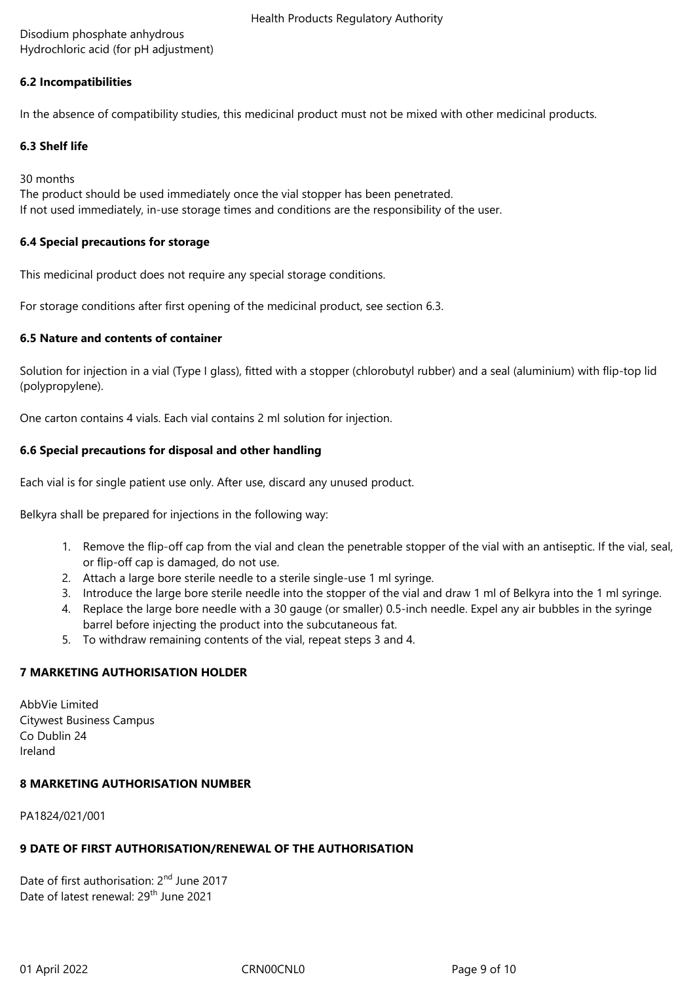Disodium phosphate anhydrous Hydrochloric acid (for pH adjustment)

## **6.2 Incompatibilities**

In the absence of compatibility studies, this medicinal product must not be mixed with other medicinal products.

#### **6.3 Shelf life**

30 months

The product should be used immediately once the vial stopper has been penetrated. If not used immediately, in-use storage times and conditions are the responsibility of the user.

#### **6.4 Special precautions for storage**

This medicinal product does not require any special storage conditions.

For storage conditions after first opening of the medicinal product, see section 6.3.

#### **6.5 Nature and contents of container**

Solution for injection in a vial (Type I glass), fitted with a stopper (chlorobutyl rubber) and a seal (aluminium) with flip-top lid (polypropylene).

One carton contains 4 vials. Each vial contains 2 ml solution for injection.

## **6.6 Special precautions for disposal and other handling**

Each vial is for single patient use only. After use, discard any unused product.

Belkyra shall be prepared for injections in the following way:

- 1. Remove the flip-off cap from the vial and clean the penetrable stopper of the vial with an antiseptic. If the vial, seal, or flip-off cap is damaged, do not use.
- 2. Attach a large bore sterile needle to a sterile single-use 1 ml syringe.
- 3. Introduce the large bore sterile needle into the stopper of the vial and draw 1 ml of Belkyra into the 1 ml syringe.
- 4. Replace the large bore needle with a 30 gauge (or smaller) 0.5-inch needle. Expel any air bubbles in the syringe barrel before injecting the product into the subcutaneous fat.
- 5. To withdraw remaining contents of the vial, repeat steps 3 and 4.

## **7 MARKETING AUTHORISATION HOLDER**

AbbVie Limited Citywest Business Campus Co Dublin 24 Ireland

## **8 MARKETING AUTHORISATION NUMBER**

PA1824/021/001

# **9 DATE OF FIRST AUTHORISATION/RENEWAL OF THE AUTHORISATION**

Date of first authorisation: 2<sup>nd</sup> June 2017 Date of latest renewal: 29<sup>th</sup> June 2021